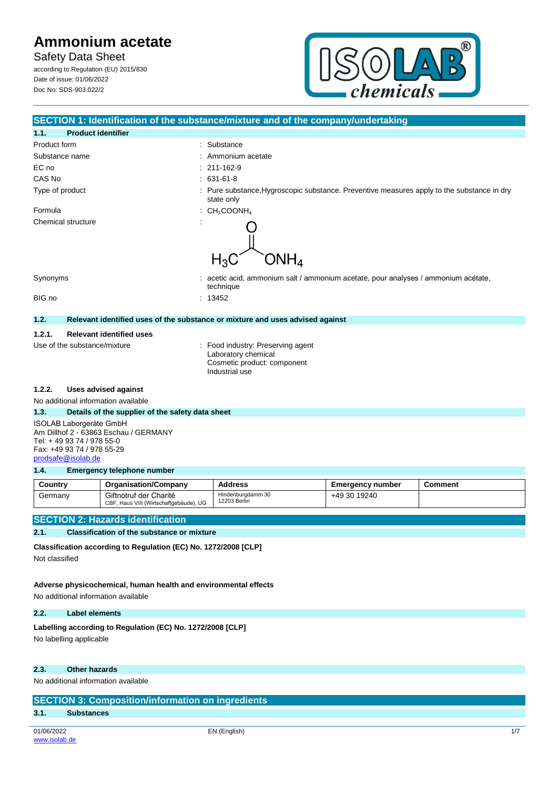**Safety Data Sheet** according to Regulation (EU) 2015/830 Date of issue: 01/06/2022

Doc No: SDS-903.022/2



# **SECTION 1: Identification of the substance/mixture and of the company/undertaking 1.1. Product identifier** Product form  $\qquad \qquad$ : Substance Substance name : Ammonium acetate EC no : 211-162-9 CAS No : 631-61-8 Type of product **interproduct** : Pure substance, Hygroscopic substance. Preventive measures apply to the substance in dry state only Formula : CH3COONH4 Chemical structure  $\blacksquare$ ONH<sub>4</sub>  $H_3C$ Synonyms **intervalses** : acetic acid, ammonium salt / ammonium acetate, pour analyses / ammonium acétate, technique BIG no : 13452 **1.2. Relevant identified uses of the substance or mixture and uses advised against 1.2.1. Relevant identified uses** Use of the substance/mixture : Food industry: Preserving agent Laboratory chemical Cosmetic product: component Industrial use **1.2.2. Uses advised against** No additional information available **1.3. Details of the supplier of the safety data sheet** ISOLAB Laborgeräte GmbH Am Dillhof 2 - 63863 Eschau / GERMANY Tel: + 49 93 74 / 978 55-0 Fax: +49 93 74 / 978 55-29 [prodsafe@isolab.de](mailto:prodsafe@isolab.de) **1.4. Emergency telephone number Country Organisation/Company Address Emergency number Comment** +49 30 19240 Germany | Giftnotruf der Charité Hindenburgdamm 30 12203 Berlin CBF, Haus VIII (Wirtschaftgebäude), UG **SECTION 2: Hazards identification**

#### **2.1. Classification of the substance or mixture**

**Classification according to Regulation (EC) No. 1272/2008 [CLP]**

Not classified

**Adverse physicochemical, human health and environmental effects** No additional information available

#### **2.2. Label elements**

Labelling according to Regulation (EC) No. 1272/2008 [CLP]

No labelling applicable

### **2.3. Other hazards**

No additional information available

| <b>SECTION 3: Composition/information on ingredients</b> |                   |              |  |
|----------------------------------------------------------|-------------------|--------------|--|
| 3.1 <sub>1</sub>                                         | <b>Substances</b> |              |  |
|                                                          |                   |              |  |
| 01/06/2022                                               |                   | EN (English) |  |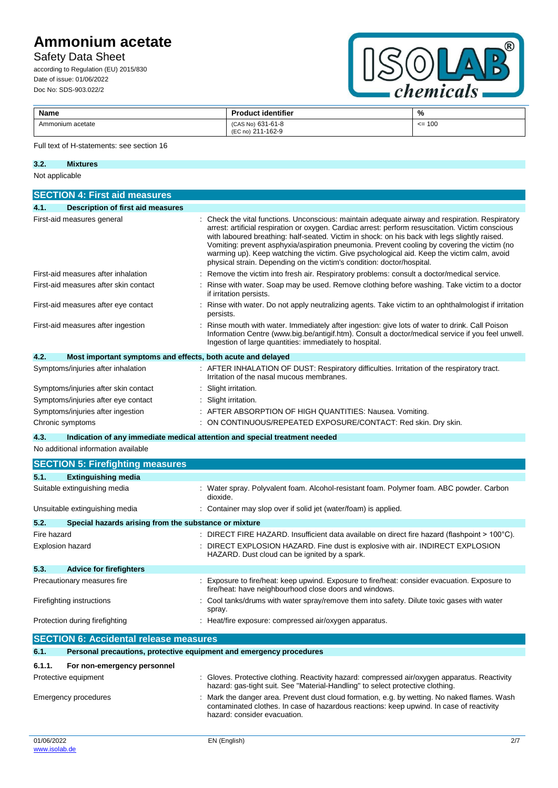# Safety Data Sheet

according to Regulation (EU) 2015/830 Date of issue: 01/06/2022 Doc No: SDS-903.022/2



| Name             | oduct identifier<br>в.,                                        | %             |
|------------------|----------------------------------------------------------------|---------------|
| Ammonium acetate | (CAS No) 631-61-8<br>1-162-9<br>$211 -$<br>(EC <sub>no</sub> ) | 100<br>$\leq$ |

### Full text of H-statements: see section 16

| 3.2.           | <b>Mixtures</b> |
|----------------|-----------------|
| Not conficeble |                 |

| <b>SECTION 4: First aid measures</b>      |                                                                                                                                                                                                                                                                                                                                                                                                                                                                                                                                                                              |  |  |  |
|-------------------------------------------|------------------------------------------------------------------------------------------------------------------------------------------------------------------------------------------------------------------------------------------------------------------------------------------------------------------------------------------------------------------------------------------------------------------------------------------------------------------------------------------------------------------------------------------------------------------------------|--|--|--|
| Description of first aid measures<br>4.1. |                                                                                                                                                                                                                                                                                                                                                                                                                                                                                                                                                                              |  |  |  |
| First-aid measures general                | : Check the vital functions. Unconscious: maintain adequate airway and respiration. Respiratory<br>arrest: artificial respiration or oxygen. Cardiac arrest: perform resuscitation. Victim conscious<br>with laboured breathing: half-seated. Victim in shock: on his back with legs slightly raised.<br>Vomiting: prevent asphyxia/aspiration pneumonia. Prevent cooling by covering the victim (no<br>warming up). Keep watching the victim. Give psychological aid. Keep the victim calm, avoid<br>physical strain. Depending on the victim's condition: doctor/hospital. |  |  |  |
| First-aid measures after inhalation       | Remove the victim into fresh air. Respiratory problems: consult a doctor/medical service.                                                                                                                                                                                                                                                                                                                                                                                                                                                                                    |  |  |  |
| First-aid measures after skin contact     | Rinse with water. Soap may be used. Remove clothing before washing. Take victim to a doctor<br>if irritation persists.                                                                                                                                                                                                                                                                                                                                                                                                                                                       |  |  |  |
| First-aid measures after eye contact      | Rinse with water. Do not apply neutralizing agents. Take victim to an ophthalmologist if irritation<br>persists.                                                                                                                                                                                                                                                                                                                                                                                                                                                             |  |  |  |
| First-aid measures after ingestion        | Rinse mouth with water. Immediately after ingestion: give lots of water to drink. Call Poison<br>Information Centre (www.big.be/antigif.htm). Consult a doctor/medical service if you feel unwell.<br>Ingestion of large quantities: immediately to hospital.                                                                                                                                                                                                                                                                                                                |  |  |  |
| 4.2.                                      | Most important symptoms and effects, both acute and delayed                                                                                                                                                                                                                                                                                                                                                                                                                                                                                                                  |  |  |  |
| Symptoms/injuries after inhalation        | : AFTER INHALATION OF DUST: Respiratory difficulties. Irritation of the respiratory tract.<br>Irritation of the nasal mucous membranes.                                                                                                                                                                                                                                                                                                                                                                                                                                      |  |  |  |
| Symptoms/injuries after skin contact      | Slight irritation.                                                                                                                                                                                                                                                                                                                                                                                                                                                                                                                                                           |  |  |  |
| Symptoms/injuries after eye contact       | Slight irritation.                                                                                                                                                                                                                                                                                                                                                                                                                                                                                                                                                           |  |  |  |
| Symptoms/injuries after ingestion         | : AFTER ABSORPTION OF HIGH QUANTITIES: Nausea. Vomiting.                                                                                                                                                                                                                                                                                                                                                                                                                                                                                                                     |  |  |  |
| Chronic symptoms                          | : ON CONTINUOUS/REPEATED EXPOSURE/CONTACT: Red skin. Dry skin.                                                                                                                                                                                                                                                                                                                                                                                                                                                                                                               |  |  |  |

**4.3. Indication of any immediate medical attention and special treatment needed**

No additional information available

|                                | <b>SECTION 5: Firefighting measures</b>                             |  |                                                                                                                                                                                 |
|--------------------------------|---------------------------------------------------------------------|--|---------------------------------------------------------------------------------------------------------------------------------------------------------------------------------|
| 5.1.                           | <b>Extinguishing media</b>                                          |  |                                                                                                                                                                                 |
| Suitable extinguishing media   |                                                                     |  | : Water spray. Polyvalent foam. Alcohol-resistant foam. Polymer foam. ABC powder. Carbon<br>dioxide.                                                                            |
| Unsuitable extinguishing media |                                                                     |  | : Container may slop over if solid jet (water/foam) is applied.                                                                                                                 |
| 5.2.                           | Special hazards arising from the substance or mixture               |  |                                                                                                                                                                                 |
| Fire hazard                    |                                                                     |  | : DIRECT FIRE HAZARD. Insufficient data available on direct fire hazard (flashpoint $>100^{\circ}$ C).                                                                          |
| <b>Explosion hazard</b>        |                                                                     |  | DIRECT EXPLOSION HAZARD. Fine dust is explosive with air. INDIRECT EXPLOSION<br>HAZARD. Dust cloud can be ignited by a spark.                                                   |
| 5.3.                           | <b>Advice for firefighters</b>                                      |  |                                                                                                                                                                                 |
| Precautionary measures fire    |                                                                     |  | Exposure to fire/heat: keep upwind. Exposure to fire/heat: consider evacuation. Exposure to<br>fire/heat: have neighbourhood close doors and windows.                           |
| Firefighting instructions      |                                                                     |  | : Cool tanks/drums with water spray/remove them into safety. Dilute toxic gases with water<br>spray.                                                                            |
| Protection during firefighting |                                                                     |  | : Heat/fire exposure: compressed air/oxygen apparatus.                                                                                                                          |
|                                | <b>SECTION 6: Accidental release measures</b>                       |  |                                                                                                                                                                                 |
| 6.1.                           | Personal precautions, protective equipment and emergency procedures |  |                                                                                                                                                                                 |
| 6.1.1.                         | For non-emergency personnel                                         |  |                                                                                                                                                                                 |
| Protective equipment           |                                                                     |  | : Gloves. Protective clothing. Reactivity hazard: compressed air/oxygen apparatus. Reactivity<br>hazard: gas-tight suit. See "Material-Handling" to select protective clothing. |

Emergency procedures : Mark the danger area. Prevent dust cloud formation, e.g. by wetting. No naked flames. Wash

hazard: consider evacuation.

contaminated clothes. In case of hazardous reactions: keep upwind. In case of reactivity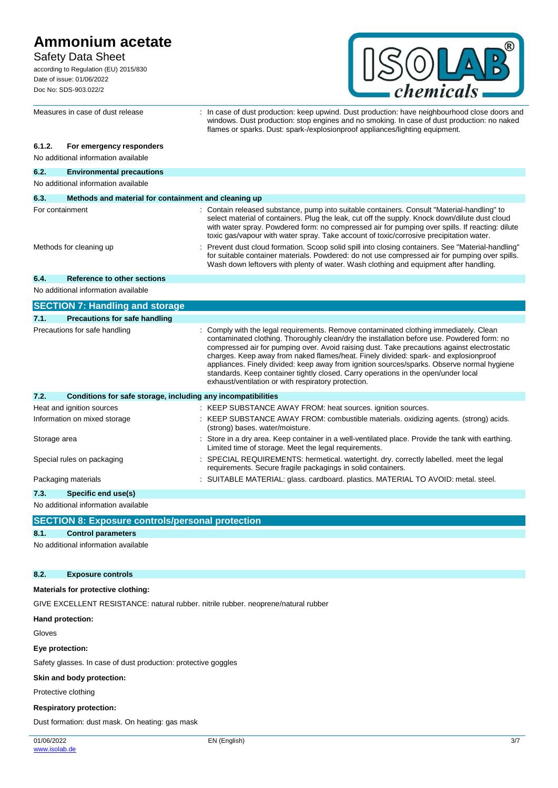## Safety Data Sheet

according to Regulation (EU) 2015/830 Date of issue: 01/06/2022 Doc No: SDS-903.022/2



windows. Dust production: stop engines and no smoking. In case of dust production: no naked

flames or sparks. Dust: spark-/explosionproof appliances/lighting equipment.

**6.1.2. For emergency responders** No additional information available **6.2. Environmental precautions** No additional information available **6.3. Methods and material for containment and cleaning up** For containment : Contain released substance, pump into suitable containers. Consult "Material-handling" to select material of containers. Plug the leak, cut off the supply. Knock down/dilute dust cloud with water spray. Powdered form: no compressed air for pumping over spills. If reacting: dilute toxic gas/vapour with water spray. Take account of toxic/corrosive precipitation water. Methods for cleaning up example of the vent dust cloud formation. Scoop solid spill into closing containers. See "Material-handling" for suitable container materials. Powdered: do not use compressed air for pumping over spills. Wash down leftovers with plenty of water. Wash clothing and equipment after handling. **6.4. Reference to other sections** No additional information available **SECTION 7: Handling and storage 7.1. Precautions for safe handling** Precautions for safe handling **included in the comply with the legal requirements. Remove contaminated clothing immediately. Clean** contaminated clothing. Thoroughly clean/dry the installation before use. Powdered form: no compressed air for pumping over. Avoid raising dust. Take precautions against electrostatic charges. Keep away from naked flames/heat. Finely divided: spark- and explosionproof appliances. Finely divided: keep away from ignition sources/sparks. Observe normal hygiene standards. Keep container tightly closed. Carry operations in the open/under local exhaust/ventilation or with respiratory protection. **7.2. Conditions for safe storage, including any incompatibilities** Heat and ignition sources : KEEP SUBSTANCE AWAY FROM: heat sources. ignition sources. Information on mixed storage : KEEP SUBSTANCE AWAY FROM: combustible materials. oxidizing agents. (strong) acids. (strong) bases. water/moisture. Storage area **investor in a store in a dry area.** Keep container in a well-ventilated place. Provide the tank with earthing. Limited time of storage. Meet the legal requirements. Special rules on packaging : SPECIAL REQUIREMENTS: hermetical. watertight. dry. correctly labelled. meet the legal requirements. Secure fragile packagings in solid containers. Packaging materials : SUITABLE MATERIAL: glass. cardboard. plastics. MATERIAL TO AVOID: metal. steel. **7.3. Specific end use(s)** No additional information available

Measures in case of dust release : In case of dust production: keep upwind. Dust production: have neighbourhood close doors and

**SECTION 8: Exposure controls/personal protection**

## **8.1. Control parameters**

No additional information available

## **8.2. Exposure controls**

# **Materials for protective clothing:**

GIVE EXCELLENT RESISTANCE: natural rubber. nitrile rubber. neoprene/natural rubber

**Hand protection:**

Gloves

**Eye protection:**

Safety glasses. In case of dust production: protective goggles

## **Skin and body protection:**

Protective clothing

## **Respiratory protection:**

Dust formation: dust mask. On heating: gas mask

01/06/2022 [www.isolab.de](http://www.isolab.de/)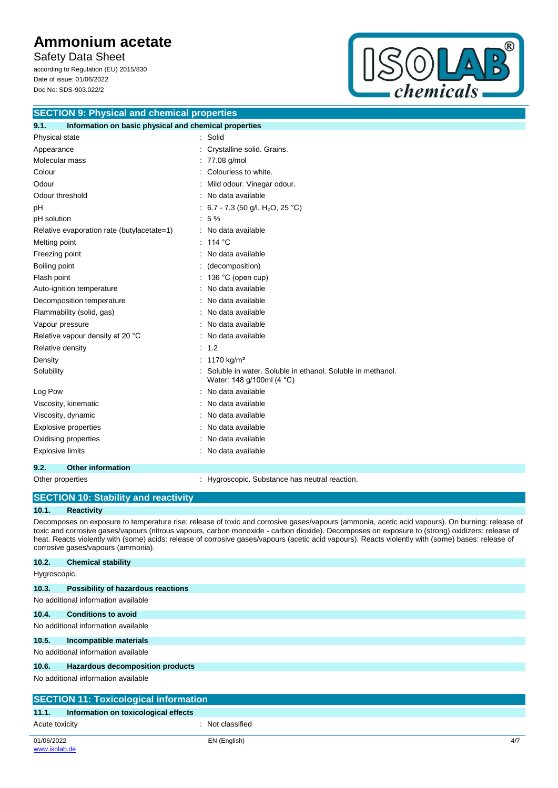Safety Data Sheet according to Regulation (EU) 2015/830 Date of issue: 01/06/2022 Doc No: SDS-903.022/2



| <b>SECTION 9: Physical and chemical properties</b> |  |
|----------------------------------------------------|--|
|                                                    |  |

| 9.1.<br>Information on basic physical and chemical properties |                                                                                         |  |  |  |
|---------------------------------------------------------------|-----------------------------------------------------------------------------------------|--|--|--|
| Physical state                                                | : Solid                                                                                 |  |  |  |
| Appearance                                                    | Crystalline solid. Grains.                                                              |  |  |  |
| Molecular mass                                                | 77.08 g/mol                                                                             |  |  |  |
| Colour                                                        | Colourless to white.                                                                    |  |  |  |
| Odour                                                         | Mild odour. Vinegar odour.                                                              |  |  |  |
| Odour threshold                                               | No data available                                                                       |  |  |  |
| pH                                                            | : 6.7 - 7.3 (50 g/l, H <sub>2</sub> O, 25 °C)                                           |  |  |  |
| pH solution                                                   | 5 %                                                                                     |  |  |  |
| Relative evaporation rate (butylacetate=1)                    | : No data available                                                                     |  |  |  |
| Melting point                                                 | : 114 °C                                                                                |  |  |  |
| Freezing point                                                | : No data available                                                                     |  |  |  |
| Boiling point                                                 | (decomposition)                                                                         |  |  |  |
| Flash point                                                   | : 136 °C (open cup)                                                                     |  |  |  |
| Auto-ignition temperature                                     | No data available                                                                       |  |  |  |
| Decomposition temperature                                     | No data available                                                                       |  |  |  |
| Flammability (solid, gas)                                     | No data available                                                                       |  |  |  |
| Vapour pressure                                               | No data available                                                                       |  |  |  |
| Relative vapour density at 20 °C                              | No data available                                                                       |  |  |  |
| Relative density                                              | : 1.2                                                                                   |  |  |  |
| Density                                                       | 1170 kg/m <sup>3</sup>                                                                  |  |  |  |
| Solubility                                                    | Soluble in water. Soluble in ethanol. Soluble in methanol.<br>Water: 148 g/100ml (4 °C) |  |  |  |
| Log Pow                                                       | No data available                                                                       |  |  |  |
| Viscosity, kinematic                                          | No data available                                                                       |  |  |  |
| Viscosity, dynamic                                            | No data available                                                                       |  |  |  |
| <b>Explosive properties</b>                                   | No data available                                                                       |  |  |  |
| Oxidising properties                                          | No data available                                                                       |  |  |  |
| <b>Explosive limits</b>                                       | No data available                                                                       |  |  |  |
| <b>Other information</b><br>9.2.                              |                                                                                         |  |  |  |

Other properties : Hygroscopic. Substance has neutral reaction.

|              | <b>SECTION 10: Stability and reactivity</b>                                                                                                                                                                                                                                                                                                                                                                                                                                                    |  |  |  |
|--------------|------------------------------------------------------------------------------------------------------------------------------------------------------------------------------------------------------------------------------------------------------------------------------------------------------------------------------------------------------------------------------------------------------------------------------------------------------------------------------------------------|--|--|--|
| 10.1.        | <b>Reactivity</b>                                                                                                                                                                                                                                                                                                                                                                                                                                                                              |  |  |  |
|              | Decomposes on exposure to temperature rise: release of toxic and corrosive gases/vapours (ammonia, acetic acid vapours). On burning: release of<br>toxic and corrosive gases/vapours (nitrous vapours, carbon monoxide - carbon dioxide). Decomposes on exposure to (strong) oxidizers: release of<br>heat. Reacts violently with (some) acids: release of corrosive gases/vapours (acetic acid vapours). Reacts violently with (some) bases: release of<br>corrosive gases/vapours (ammonia). |  |  |  |
| 10.2.        | <b>Chemical stability</b>                                                                                                                                                                                                                                                                                                                                                                                                                                                                      |  |  |  |
| Hygroscopic. |                                                                                                                                                                                                                                                                                                                                                                                                                                                                                                |  |  |  |
| 10.3.        | Possibility of hazardous reactions                                                                                                                                                                                                                                                                                                                                                                                                                                                             |  |  |  |
|              | No additional information available                                                                                                                                                                                                                                                                                                                                                                                                                                                            |  |  |  |

| 10.4.                               | <b>Conditions to avoid</b>          |
|-------------------------------------|-------------------------------------|
|                                     | No additional information available |
| 10.5.                               | Incompatible materials              |
| No additional information available |                                     |

#### **10.6. Hazardous decomposition products**

No additional information available

| <b>SECTION 11: Toxicological information</b> |                                      |                |     |
|----------------------------------------------|--------------------------------------|----------------|-----|
| 11.1.                                        | Information on toxicological effects |                |     |
| Acute toxicity                               |                                      | Not classified |     |
| 01/06/2022                                   |                                      | EN (English)   | 4/7 |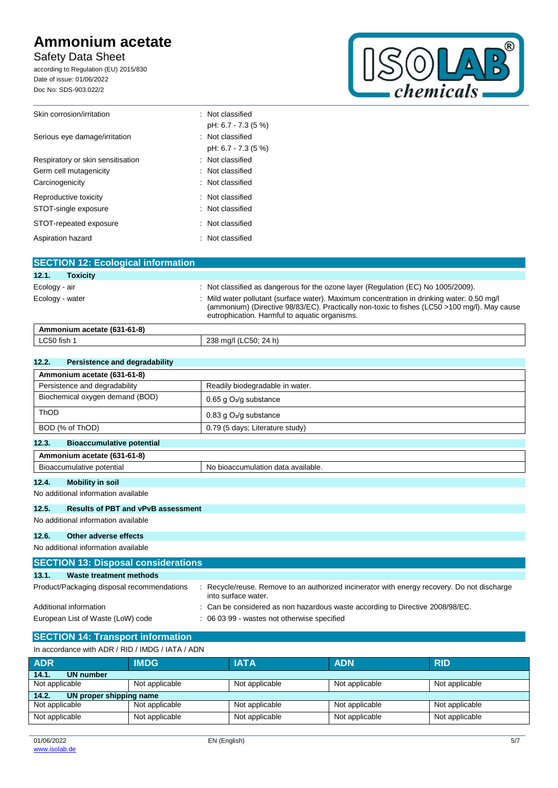Safety Data Sheet

according to Regulation (EU) 2015/830 Date of issue: 01/06/2022 Doc No: SDS-903.022/2



| Skin corrosion/irritation         | : Not classified    |
|-----------------------------------|---------------------|
|                                   | pH: 6.7 - 7.3 (5 %) |
| Serious eye damage/irritation     | : Not classified    |
|                                   | pH: 6.7 - 7.3 (5 %) |
| Respiratory or skin sensitisation | : Not classified    |
| Germ cell mutagenicity            | : Not classified    |
| Carcinogenicity                   | : Not classified    |
| Reproductive toxicity             | : Not classified    |
| STOT-single exposure              | : Not classified    |
| STOT-repeated exposure            | : Not classified    |
| Aspiration hazard                 | : Not classified    |

| <b>SECTION 12: Ecological information</b> |                                                                                                                                                                                                                                           |
|-------------------------------------------|-------------------------------------------------------------------------------------------------------------------------------------------------------------------------------------------------------------------------------------------|
| 12.1.<br><b>Toxicity</b>                  |                                                                                                                                                                                                                                           |
| Ecology - air                             | : Not classified as dangerous for the ozone layer (Regulation (EC) No 1005/2009).                                                                                                                                                         |
| Ecology - water                           | Mild water pollutant (surface water). Maximum concentration in drinking water: 0.50 mg/l<br>(ammonium) (Directive 98/83/EC). Practically non-toxic to fishes (LC50 >100 mg/l). May cause<br>eutrophication. Harmful to aquatic organisms. |
| Ammonium acetate (631-61-8)               |                                                                                                                                                                                                                                           |
| LC50 fish 1                               | 238 mg/l (LC50; 24 h)                                                                                                                                                                                                                     |

| 12.2.<br>Persistence and degradability                          |                                 |  |
|-----------------------------------------------------------------|---------------------------------|--|
| Ammonium acetate (631-61-8)                                     |                                 |  |
| Persistence and degradability                                   | Readily biodegradable in water. |  |
| Biochemical oxygen demand (BOD)                                 | 0.65 g $O_2$ /g substance       |  |
| ThOD                                                            | 0.83 g $O_2$ /g substance       |  |
| BOD (% of ThOD)                                                 | 0.79 (5 days; Literature study) |  |
| 12.3.<br><b>Bioaccumulative potential</b>                       |                                 |  |
| Ammonium acetate (631-61-8)                                     |                                 |  |
| Bioaccumulative potential<br>No bioaccumulation data available. |                                 |  |
| 12.4.<br><b>Mobility in soil</b>                                |                                 |  |

No additional information available

## **12.5. Results of PBT and vPvB assessment**

No additional information available

#### **12.6. Other adverse effects**

No additional information available

| <b>SECTION 13: Disposal considerations</b> |                                                                                                                  |  |
|--------------------------------------------|------------------------------------------------------------------------------------------------------------------|--|
| 13.1.<br>Waste treatment methods           |                                                                                                                  |  |
| Product/Packaging disposal recommendations | Recycle/reuse. Remove to an authorized incinerator with energy recovery. Do not discharge<br>into surface water. |  |
| Additional information                     | : Can be considered as non hazardous waste according to Directive 2008/98/EC.                                    |  |
| European List of Waste (LoW) code          | : 06 03 99 - wastes not otherwise specified                                                                      |  |

# **SECTION 14: Transport information**

| In accordance with ADR / RID / IMDG / IATA / ADN |                |                |                |                |
|--------------------------------------------------|----------------|----------------|----------------|----------------|
| <b>ADR</b>                                       | <b>IMDG</b>    | <b>IATA</b>    | <b>ADN</b>     | <b>RID</b>     |
| 14.1.<br><b>UN number</b>                        |                |                |                |                |
| Not applicable                                   | Not applicable | Not applicable | Not applicable | Not applicable |
| UN proper shipping name<br>14.2.                 |                |                |                |                |
| Not applicable                                   | Not applicable | Not applicable | Not applicable | Not applicable |
| Not applicable                                   | Not applicable | Not applicable | Not applicable | Not applicable |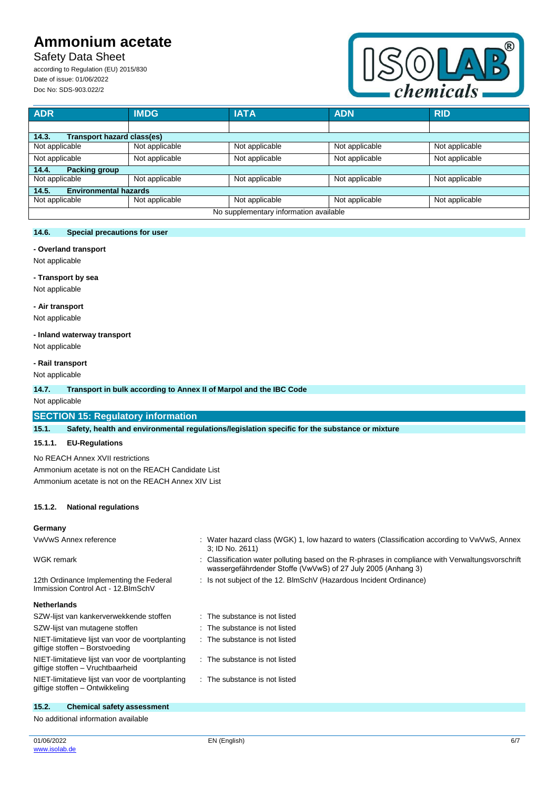Safety Data Sheet

according to Regulation (EU) 2015/830 Date of issue: 01/06/2022 Doc No: SDS-903.022/2



| <b>ADR</b>                             | <b>IMDG</b>    | <b>IATA</b>    | <b>ADN</b>     | <b>RID</b>     |
|----------------------------------------|----------------|----------------|----------------|----------------|
|                                        |                |                |                |                |
| Transport hazard class(es)<br>14.3.    |                |                |                |                |
| Not applicable                         | Not applicable | Not applicable | Not applicable | Not applicable |
| Not applicable                         | Not applicable | Not applicable | Not applicable | Not applicable |
| <b>Packing group</b><br>14.4.          |                |                |                |                |
| Not applicable                         | Not applicable | Not applicable | Not applicable | Not applicable |
| <b>Environmental hazards</b><br>14.5.  |                |                |                |                |
| Not applicable                         | Not applicable | Not applicable | Not applicable | Not applicable |
| No supplementary information available |                |                |                |                |

### **14.6. Special precautions for user**

#### **- Overland transport**

Not applicable

# **- Transport by sea**

Not applicable

### **- Air transport**

Not applicable

## **- Inland waterway transport**

Not applicable

## **- Rail transport**

Not applicable

### **14.7. Transport in bulk according to Annex II of Marpol and the IBC Code**

Not applicable

## **SECTION 15: Regulatory information**

**15.1. Safety, health and environmental regulations/legislation specific for the substance or mixture**

### **15.1.1. EU-Regulations**

No REACH Annex XVII restrictions

Ammonium acetate is not on the REACH Candidate List Ammonium acetate is not on the REACH Annex XIV List

### **15.1.2. National regulations**

### **Germany**

| VwVwS Annex reference                                                          | Water hazard class (WGK) 1, low hazard to waters (Classification according to VwVwS, Annex<br>3: ID No. 2611)                                                  |
|--------------------------------------------------------------------------------|----------------------------------------------------------------------------------------------------------------------------------------------------------------|
| WGK remark                                                                     | Classification water polluting based on the R-phrases in compliance with Verwaltungsvorschrift<br>wassergefährdender Stoffe (VwVwS) of 27 July 2005 (Anhang 3) |
| 12th Ordinance Implementing the Federal<br>Immission Control Act - 12. BlmSchV | Is not subject of the 12. BlmSchV (Hazardous Incident Ordinance)                                                                                               |
| <b>Netherlands</b>                                                             |                                                                                                                                                                |
| SZW-lijst van kankerverwekkende stoffen                                        | : The substance is not listed                                                                                                                                  |
| SZW-lijst van mutagene stoffen                                                 | The substance is not listed                                                                                                                                    |

| SZW-lijst van mutagene stoffen                                                       | : The substance is not listed |
|--------------------------------------------------------------------------------------|-------------------------------|
| NIET-limitatieve lijst van voor de voortplanting<br>giftige stoffen - Borstvoeding   | : The substance is not listed |
| NIET-limitatieve lijst van voor de voortplanting<br>giftige stoffen - Vruchtbaarheid | : The substance is not listed |
| NIET-limitatieve lijst van voor de voortplanting<br>giftige stoffen - Ontwikkeling   | : The substance is not listed |

# **15.2. Chemical safety assessment**

No additional information available